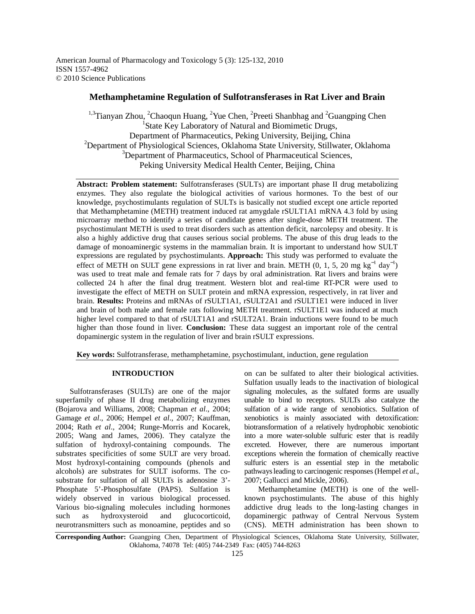American Journal of Pharmacology and Toxicology 5 (3): 125-132, 2010 ISSN 1557-4962 © 2010 Science Publications

# **Methamphetamine Regulation of Sulfotransferases in Rat Liver and Brain**

<sup>1,3</sup>Tianyan Zhou, <sup>2</sup>Chaoqun Huang, <sup>2</sup>Yue Chen, <sup>2</sup>Preeti Shanbhag and <sup>2</sup>Guangping Chen <sup>1</sup>State Key Laboratory of Natural and Biomimetic Drugs, Department of Pharmaceutics, Peking University, Beijing, China <sup>2</sup>Department of Physiological Sciences, Oklahoma State University, Stillwater, Oklahoma <sup>3</sup>Department of Pharmaceutics, School of Pharmaceutical Sciences, Peking University Medical Health Center, Beijing, China

**Abstract: Problem statement:** Sulfotransferases (SULTs) are important phase II drug metabolizing enzymes. They also regulate the biological activities of various hormones. To the best of our knowledge, psychostimulants regulation of SULTs is basically not studied except one article reported that Methamphetamine (METH) treatment induced rat amygdale rSULT1A1 mRNA 4.3 fold by using microarray method to identify a series of candidate genes after single-dose METH treatment. The psychostimulant METH is used to treat disorders such as attention deficit, narcolepsy and obesity. It is also a highly addictive drug that causes serious social problems. The abuse of this drug leads to the damage of monoaminergic systems in the mammalian brain. It is important to understand how SULT expressions are regulated by psychostimulants. **Approach:** This study was performed to evaluate the effect of METH on SULT gene expressions in rat liver and brain. METH  $(0, 1, 5, 20 \text{ mg kg}^{-1} \text{ day}^{-1})$ was used to treat male and female rats for 7 days by oral administration. Rat livers and brains were collected 24 h after the final drug treatment. Western blot and real-time RT-PCR were used to investigate the effect of METH on SULT protein and mRNA expression, respectively, in rat liver and brain. **Results:** Proteins and mRNAs of rSULT1A1, rSULT2A1 and rSULT1E1 were induced in liver and brain of both male and female rats following METH treatment. rSULT1E1 was induced at much higher level compared to that of rSULT1A1 and rSULT2A1. Brain inductions were found to be much higher than those found in liver. **Conclusion:** These data suggest an important role of the central dopaminergic system in the regulation of liver and brain rSULT expressions.

**Key words:** Sulfotransferase, methamphetamine, psychostimulant, induction, gene regulation

## **INTRODUCTION**

 Sulfotransferases (SULTs) are one of the major superfamily of phase II drug metabolizing enzymes (Bojarova and Williams, 2008; Chapman *et al*., 2004; Gamage *et al*., 2006; Hempel *et al*., 2007; Kauffman, 2004; Rath *et al*., 2004; Runge-Morris and Kocarek, 2005; Wang and James, 2006). They catalyze the sulfation of hydroxyl-containing compounds. The substrates specificities of some SULT are very broad. Most hydroxyl-containing compounds (phenols and alcohols) are substrates for SULT isoforms. The cosubstrate for sulfation of all SULTs is adenosine 3'- Phosphate 5'-Phosphosulfate (PAPS). Sulfation is widely observed in various biological processed. Various bio-signaling molecules including hormones such as hydroxysteroid and glucocorticoid, neurotransmitters such as monoamine, peptides and so

on can be sulfated to alter their biological activities. Sulfation usually leads to the inactivation of biological signaling molecules, as the sulfated forms are usually unable to bind to receptors. SULTs also catalyze the sulfation of a wide range of xenobiotics. Sulfation of xenobiotics is mainly associated with detoxification: biotransformation of a relatively hydrophobic xenobiotic into a more water-soluble sulfuric ester that is readily excreted. However, there are numerous important exceptions wherein the formation of chemically reactive sulfuric esters is an essential step in the metabolic pathways leading to carcinogenic responses (Hempel *et al*., 2007; Gallucci and Mickle, 2006).

 Methamphetamine (METH) is one of the wellknown psychostimulants. The abuse of this highly addictive drug leads to the long-lasting changes in dopaminergic pathway of Central Nervous System (CNS). METH administration has been shown to

**Corresponding Author:** Guangping Chen, Department of Physiological Sciences, Oklahoma State University, Stillwater, Oklahoma, 74078 Tel: (405) 744-2349 Fax: (405) 744-8263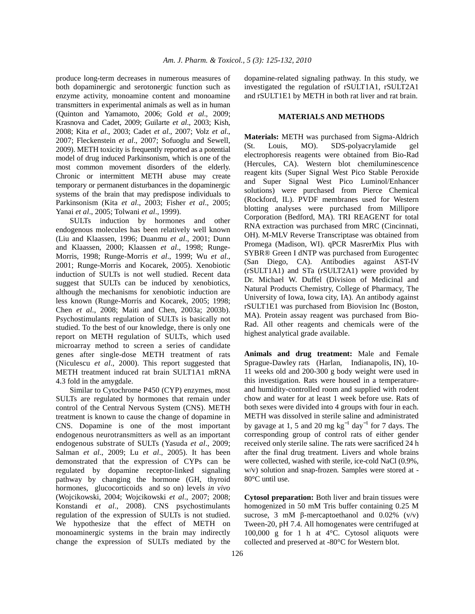produce long-term decreases in numerous measures of both dopaminergic and serotonergic function such as enzyme activity, monoamine content and monoamine transmitters in experimental animals as well as in human (Quinton and Yamamoto, 2006; Gold *et al*., 2009; Krasnova and Cadet, 2009; Guilarte *et al*., 2003; Kish, 2008; Kita *et al*., 2003; Cadet *et al*., 2007; Volz *et al*., 2007; Fleckenstein *et al*., 2007; Sofuoglu and Sewell, 2009). METH toxicity is frequently reported as a potential model of drug induced Parkinsonism, which is one of the most common movement disorders of the elderly. Chronic or intermittent METH abuse may create temporary or permanent disturbances in the dopaminergic systems of the brain that may predispose individuals to Parkinsonism (Kita *et al*., 2003; Fisher *et al*., 2005; Yanai *et al*., 2005; Tolwani *et al*., 1999).

 SULTs induction by hormones and other endogenous molecules has been relatively well known (Liu and Klaassen, 1996; Duanmu *et al*., 2001; Dunn and Klaassen, 2000; Klaassen *et al*., 1998; Runge-Morris, 1998; Runge-Morris *et al*., 1999; Wu *et al*., 2001; Runge-Morris and Kocarek, 2005). Xenobiotic induction of SULTs is not well studied. Recent data suggest that SULTs can be induced by xenobiotics, although the mechanisms for xenobiotic induction are less known (Runge-Morris and Kocarek, 2005; 1998; Chen *et al*., 2008; Maiti and Chen, 2003a; 2003b). Psychostimulants regulation of SULTs is basically not studied. To the best of our knowledge, there is only one report on METH regulation of SULTs, which used microarray method to screen a series of candidate genes after single-dose METH treatment of rats (Niculescu *et al*., 2000). This report suggested that METH treatment induced rat brain SULT1A1 mRNA 4.3 fold in the amygdale.

 Similar to Cytochrome P450 (CYP) enzymes, most SULTs are regulated by hormones that remain under control of the Central Nervous System (CNS). METH treatment is known to cause the change of dopamine in CNS. Dopamine is one of the most important endogenous neurotransmitters as well as an important endogenous substrate of SULTs (Yasuda *et al*., 2009; Salman *et al*., 2009; Lu *et al*., 2005). It has been demonstrated that the expression of CYPs can be regulated by dopamine receptor-linked signaling pathway by changing the hormone (GH, thyroid hormones, glucocorticoids and so on) levels *in vivo*  (Wojcikowski, 2004; Wojcikowski *et al*., 2007; 2008; Konstandi *et al*., 2008). CNS psychostimulants regulation of the expression of SULTs is not studied. We hypothesize that the effect of METH on monoaminergic systems in the brain may indirectly change the expression of SULTs mediated by the

dopamine-related signaling pathway. In this study, we investigated the regulation of rSULT1A1, rSULT2A1 and rSULT1E1 by METH in both rat liver and rat brain.

## **MATERIALS AND METHODS**

**Materials:** METH was purchased from Sigma-Aldrich (St. Louis, MO). SDS-polyacrylamide gel electrophoresis reagents were obtained from Bio-Rad (Hercules, CA). Western blot chemiluminescence reagent kits (Super Signal West Pico Stable Peroxide and Super Signal West Pico Luminol/Enhancer solutions) were purchased from Pierce Chemical (Rockford, IL). PVDF membranes used for Western blotting analyses were purchased from Millipore Corporation (Bedford, MA). TRI REAGENT for total RNA extraction was purchased from MRC (Cincinnati, OH). M-MLV Reverse Transcriptase was obtained from Promega (Madison, WI). qPCR MasrerMix Plus with SYBR® Green I dNTP was purchased from Eurogentec (San Diego, CA). Antibodies against AST-IV (rSULT1A1) and STa (rSULT2A1) were provided by Dr. Michael W. Duffel (Division of Medicinal and Natural Products Chemistry, College of Pharmacy, The University of Iowa, Iowa city, IA). An antibody against rSULT1E1 was purchased from Biovision Inc (Boston, MA). Protein assay reagent was purchased from Bio-Rad. All other reagents and chemicals were of the highest analytical grade available.

**Animals and drug treatment:** Male and Female Sprague-Dawley rats (Harlan, Indianapolis, IN), 10- 11 weeks old and 200-300 g body weight were used in this investigation. Rats were housed in a temperatureand humidity-controlled room and supplied with rodent chow and water for at least 1 week before use. Rats of both sexes were divided into 4 groups with four in each. METH was dissolved in sterile saline and administrated by gavage at 1, 5 and 20 mg  $\text{kg}^{-1}$  day<sup>-1</sup> for 7 days. The corresponding group of control rats of either gender received only sterile saline. The rats were sacrificed 24 h after the final drug treatment. Livers and whole brains were collected, washed with sterile, ice-cold NaCl (0.9%, w/v) solution and snap-frozen. Samples were stored at - 80°C until use.

**Cytosol preparation:** Both liver and brain tissues were homogenized in 50 mM Tris buffer containing 0.25 M sucrose, 3 mM β-mercaptoethanol and 0.02% (v/v) Tween-20, pH 7.4. All homogenates were centrifuged at 100,000 g for 1 h at 4°C. Cytosol aliquots were collected and preserved at -80°C for Western blot.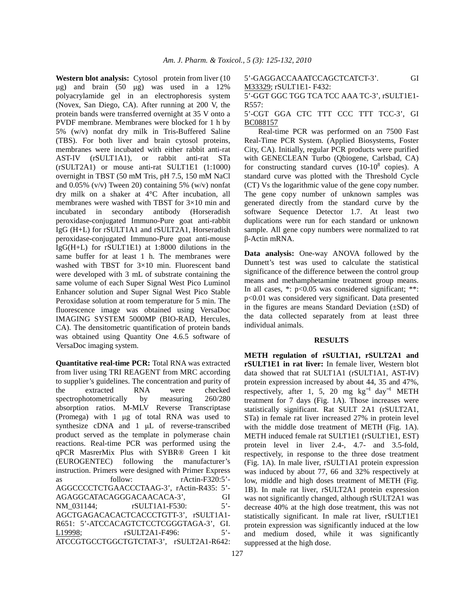**Western blot analysis:** Cytosol protein from liver (10 µg) and brain (50 µg) was used in a 12% polyacrylamide gel in an electrophoresis system (Novex, San Diego, CA). After running at 200 V, the protein bands were transferred overnight at 35 V onto a PVDF membrane. Membranes were blocked for 1 h by 5% (w/v) nonfat dry milk in Tris-Buffered Saline (TBS). For both liver and brain cytosol proteins, membranes were incubated with either rabbit anti-rat AST-IV (rSULT1A1), or rabbit anti-rat STa (rSULT2A1) or mouse anti-rat SULT1E1 (1:1000) overnight in TBST (50 mM Tris, pH 7.5, 150 mM NaCl and  $0.05\%$  (v/v) Tween 20) containing 5% (w/v) nonfat dry milk on a shaker at 4°C After incubation, all membranes were washed with TBST for 3×10 min and incubated in secondary antibody (Horseradish peroxidase-conjugated Immuno-Pure goat anti-rabbit IgG (H+L) for rSULT1A1 and rSULT2A1, Horseradish peroxidase-conjugated Immuno-Pure goat anti-mouse IgG(H+L) for rSULT1E1) at 1:8000 dilutions in the same buffer for at least 1 h. The membranes were washed with TBST for 3×10 min. Fluorescent band were developed with 3 mL of substrate containing the same volume of each Super Signal West Pico Luminol Enhancer solution and Super Signal West Pico Stable Peroxidase solution at room temperature for 5 min. The fluorescence image was obtained using VersaDoc IMAGING SYSTEM 5000MP (BIO-RAD, Hercules, CA). The densitometric quantification of protein bands was obtained using Quantity One 4.6.5 software of VersaDoc imaging system.

**Quantitative real-time PCR:** Total RNA was extracted from liver using TRI REAGENT from MRC according to supplier's guidelines. The concentration and purity of the extracted RNA were checked spectrophotometrically by measuring 260/280 absorption ratios. M-MLV Reverse Transcriptase (Promega) with 1 µg of total RNA was used to synthesize cDNA and 1 µL of reverse-transcribed product served as the template in polymerase chain reactions. Real-time PCR was performed using the qPCR MasrerMix Plus with SYBR® Green I kit (EUROGENTEC) following the manufacturer's instruction. Primers were designed with Primer Express as follow: rActin-F320:5'-AGGCCCCTCTGAACCCTAAG-3', rActin-R435: 5'- AGAGGCATACAGGGACAACACA-3', GI NM\_031144; rSULT1A1-F530: 5'-AGCTGAGACACACTCACCCTGTT-3', rSULT1A1- R651: 5'-ATCCACAGTCTCCTCGGGTAGA-3', GI. L19998; rSULT2A1-F496: 5'- ATCCGTGCCTGGCTGTCTAT-3', rSULT2A1-R642:

5'-GAGGACCAAATCCAGCTCATCT-3'. GI M33329; rSULT1E1- F432:

5'-GGT GGC TGG TCA TCC AAA TC-3', rSULT1E1- R557:

5'-CGT GGA CTC TTT CCC TTT TCC-3', GI BC088157

 Real-time PCR was performed on an 7500 Fast Real-Time PCR System. (Applied Biosystems, Foster City, CA). Initially, regular PCR products were purified with GENECLEAN Turbo (Qbiogene, Carlsbad, CA) for constructing standard curves  $(10-10^8 \text{ copies})$ . A standard curve was plotted with the Threshold Cycle (CT) Vs the logarithmic value of the gene copy number. The gene copy number of unknown samples was generated directly from the standard curve by the software Sequence Detector 1.7. At least two duplications were run for each standard or unknown sample. All gene copy numbers were normalized to rat β-Actin mRNA.

**Data analysis:** One-way ANOVA followed by the Dunnett's test was used to calculate the statistical significance of the difference between the control group means and methamphetamine treatment group means. In all cases,  $*$ :  $p<0.05$  was considered significant;  $**$ : p<0.01 was considered very significant. Data presented in the figures are means Standard Deviation (±SD) of the data collected separately from at least three individual animals.

### **RESULTS**

**METH regulation of rSULT1A1, rSULT2A1 and rSULT1E1 in rat liver:** In female liver, Western blot data showed that rat SULT1A1 (rSULT1A1, AST-IV) protein expression increased by about 44, 35 and 47%, respectively, after 1, 5, 20 mg  $\text{kg}^{-1}$  day<sup>-1</sup> METH treatment for 7 days (Fig. 1A). Those increases were statistically significant. Rat SULT 2A1 (rSULT2A1, STa) in female rat liver increased 27% in protein level with the middle dose treatment of METH (Fig. 1A). METH induced female rat SULT1E1 (rSULT1E1, EST) protein level in liver 2.4-, 4.7- and 3.5-fold, respectively, in response to the three dose treatment (Fig. 1A). In male liver, rSULT1A1 protein expression was induced by about 77, 66 and 32% respectively at low, middle and high doses treatment of METH (Fig. 1B). In male rat liver, rSULT2A1 protein expression was not significantly changed, although rSULT2A1 was decrease 40% at the high dose treatment, this was not statistically significant. In male rat liver, rSULT1E1 protein expression was significantly induced at the low and medium dosed, while it was significantly suppressed at the high dose.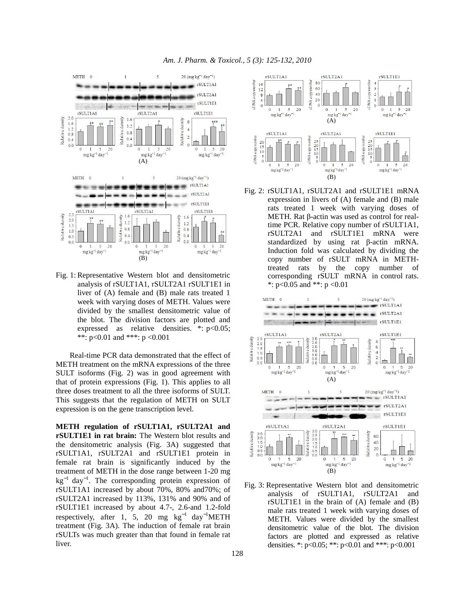

Fig. 1: Representative Western blot and densitometric analysis of rSULT1A1, rSULT2A1 rSULT1E1 in liver of (A) female and (B) male rats treated 1 week with varying doses of METH. Values were divided by the smallest densitometric value of the blot. The division factors are plotted and expressed as relative densities. \*: p<0.05; \*\*:  $p<0.01$  and \*\*\*:  $p < 0.001$ 

 Real-time PCR data demonstrated that the effect of METH treatment on the mRNA expressions of the three SULT isoforms (Fig. 2) was in good agreement with that of protein expressions (Fig. 1). This applies to all three doses treatment to all the three isoforms of SULT. This suggests that the regulation of METH on SULT expression is on the gene transcription level.

**METH regulation of rSULT1A1, rSULT2A1 and rSULT1E1 in rat brain:** The Western blot results and the densitometric analysis (Fig. 3A) suggested that rSULT1A1, rSULT2A1 and rSULT1E1 protein in female rat brain is significantly induced by the treatment of METH in the dose range between 1-20 mg kg<sup>-1</sup> day<sup>-1</sup>. The corresponding protein expression of rSULT1A1 increased by about 70%, 80% and70%; of rSULT2A1 increased by 113%, 131% and 90% and of rSULT1E1 increased by about 4.7-, 2.6-and 1.2-fold respectively, after 1, 5, 20 mg  $kg^{-1}$  day<sup>-1</sup>METH treatment (Fig. 3A). The induction of female rat brain rSULTs was much greater than that found in female rat liver.



Fig. 2: rSULT1A1, rSULT2A1 and rSULT1E1 mRNA expression in livers of (A) female and (B) male rats treated 1 week with varying doses of METH. Rat β-actin was used as control for realtime PCR. Relative copy number of rSULT1A1, rSULT2A1 and rSULT1E1 mRNA were standardized by using rat β-actin mRNA. Induction fold was calculated by dividing the copy number of rSULT mRNA in METHtreated rats by the copy number of corresponding rSULT mRNA in control rats. \*:  $p<0.05$  and \*\*:  $p < 0.01$ 



Fig. 3: Representative Western blot and densitometric analysis of rSULT1A1, rSULT2A1 and rSULT1E1 in the brain of (A) female and (B) male rats treated 1 week with varying doses of METH. Values were divided by the smallest densitometric value of the blot. The division factors are plotted and expressed as relative densities. \*: p<0.05; \*\*: p<0.01 and \*\*\*: p<0.001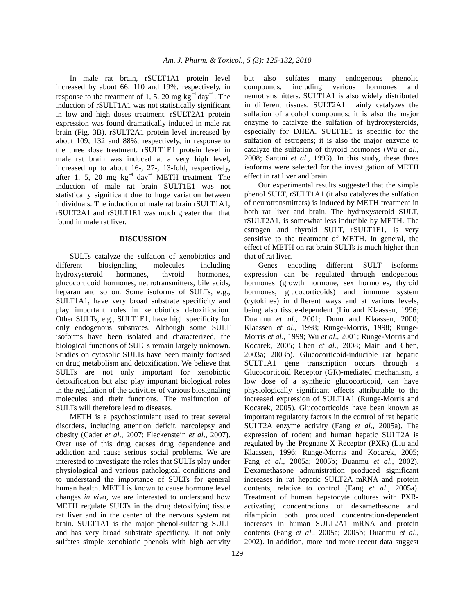In male rat brain, rSULT1A1 protein level increased by about 66, 110 and 19%, respectively, in response to the treatment of 1, 5, 20 mg  $kg^{-1}$  day<sup>-1</sup>. The induction of rSULT1A1 was not statistically significant in low and high doses treatment. rSULT2A1 protein expression was found dramatically induced in male rat brain (Fig. 3B). rSULT2A1 protein level increased by about 109, 132 and 88%, respectively, in response to the three dose treatment. rSULT1E1 protein level in male rat brain was induced at a very high level, increased up to about 16-, 27-, 13-fold, respectively, after 1, 5, 20 mg  $kg^{-1}$  day<sup>-1</sup> METH treatment. The induction of male rat brain SULT1E1 was not statistically significant due to huge variation between individuals. The induction of male rat brain rSULT1A1, rSULT2A1 and rSULT1E1 was much greater than that found in male rat liver.

#### **DISCUSSION**

 SULTs catalyze the sulfation of xenobiotics and different biosignaling molecules including hydroxysteroid hormones, thyroid hormones, glucocorticoid hormones, neurotransmitters, bile acids, heparan and so on. Some isoforms of SULTs, e.g., SULT1A1, have very broad substrate specificity and play important roles in xenobiotics detoxification. Other SULTs, e.g., SULT1E1, have high specificity for only endogenous substrates. Although some SULT isoforms have been isolated and characterized, the biological functions of SULTs remain largely unknown. Studies on cytosolic SULTs have been mainly focused on drug metabolism and detoxification. We believe that SULTs are not only important for xenobiotic detoxification but also play important biological roles in the regulation of the activities of various biosignaling molecules and their functions. The malfunction of SULTs will therefore lead to diseases.

 METH is a psychostimulant used to treat several disorders, including attention deficit, narcolepsy and obesity (Cadet *et al*., 2007; Fleckenstein *et al*., 2007). Over use of this drug causes drug dependence and addiction and cause serious social problems. We are interested to investigate the roles that SULTs play under physiological and various pathological conditions and to understand the importance of SULTs for general human health. METH is known to cause hormone level changes *in vivo*, we are interested to understand how METH regulate SULTs in the drug detoxifying tissue rat liver and in the center of the nervous system rat brain. SULT1A1 is the major phenol-sulfating SULT and has very broad substrate specificity. It not only sulfates simple xenobiotic phenols with high activity but also sulfates many endogenous phenolic compounds, including various hormones and neurotransmitters. SULT1A1 is also widely distributed in different tissues. SULT2A1 mainly catalyzes the sulfation of alcohol compounds; it is also the major enzyme to catalyze the sulfation of hydroxysteroids, especially for DHEA. SULT1E1 is specific for the sulfation of estrogens; it is also the major enzyme to catalyze the sulfation of thyroid hormones (Wu *et al*., 2008; Santini *et al*., 1993). In this study, these three isoforms were selected for the investigation of METH effect in rat liver and brain.

 Our experimental results suggested that the simple phenol SULT, rSULT1A1 (it also catalyzes the sulfation of neurotransmitters) is induced by METH treatment in both rat liver and brain. The hydroxysteroid SULT, rSULT2A1, is somewhat less inducible by METH. The estrogen and thyroid SULT, rSULT1E1, is very sensitive to the treatment of METH. In general, the effect of METH on rat brain SULTs is much higher than that of rat liver.

 Genes encoding different SULT isoforms expression can be regulated through endogenous hormones (growth hormone, sex hormones, thyroid hormones, glucocorticoids) and immune system (cytokines) in different ways and at various levels, being also tissue-dependent (Liu and Klaassen, 1996; Duanmu *et al*., 2001; Dunn and Klaassen, 2000; Klaassen *et al*., 1998; Runge-Morris, 1998; Runge-Morris *et al*., 1999; Wu *et al*., 2001; Runge-Morris and Kocarek, 2005; Chen *et al*., 2008; Maiti and Chen, 2003a; 2003b). Glucocorticoid-inducible rat hepatic SULT1A1 gene transcription occurs through a Glucocorticoid Receptor (GR)-mediated mechanism, a low dose of a synthetic glucocorticoid, can have physiologically significant effects attributable to the increased expression of SULT1A1 (Runge-Morris and Kocarek, 2005). Glucocorticoids have been known as important regulatory factors in the control of rat hepatic SULT2A enzyme activity (Fang *et al*., 2005a). The expression of rodent and human hepatic SULT2A is regulated by the Pregnane X Receptor (PXR) (Liu and Klaassen, 1996; Runge-Morris and Kocarek, 2005; Fang *et al*., 2005a; 2005b; Duanmu *et al*., 2002). Dexamethasone administration produced significant increases in rat hepatic SULT2A mRNA and protein contents, relative to control (Fang *et al*., 2005a). Treatment of human hepatocyte cultures with PXRactivating concentrations of dexamethasone and rifampicin both produced concentration-dependent increases in human SULT2A1 mRNA and protein contents (Fang *et al*., 2005a; 2005b; Duanmu *et al*., 2002). In addition, more and more recent data suggest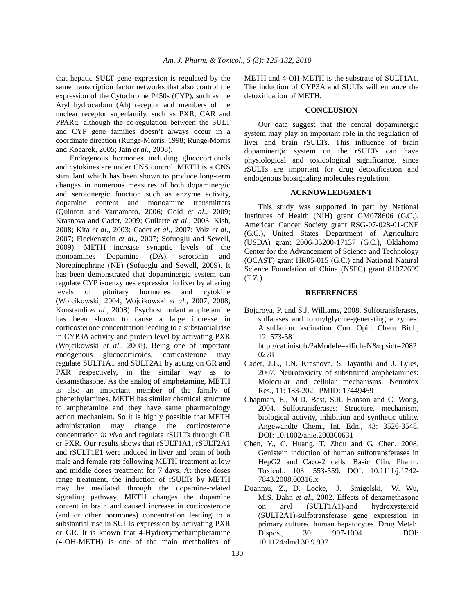that hepatic SULT gene expression is regulated by the same transcription factor networks that also control the expression of the Cytochrome P450s (CYP), such as the Aryl hydrocarbon (Ah) receptor and members of the nuclear receptor superfamily, such as PXR, CAR and PPARα, although the co-regulation between the SULT and CYP gene families doesn't always occur in a coordinate direction (Runge-Morris, 1998; Runge-Morris and Kocarek, 2005; Jain *et al*., 2008).

 Endogenous hormones including glucocorticoids and cytokines are under CNS control. METH is a CNS stimulant which has been shown to produce long-term changes in numerous measures of both dopaminergic and serotonergic function such as enzyme activity, dopamine content and monoamine transmitters (Quinton and Yamamoto, 2006; Gold *et al*., 2009; Krasnova and Cadet, 2009; Guilarte *et al*., 2003; Kish, 2008; Kita *et al*., 2003; Cadet *et al*., 2007; Volz *et al*., 2007; Fleckenstein *et al*., 2007; Sofuoglu and Sewell, 2009). METH increase synaptic levels of the monoamines Dopamine (DA), serotonin and Norepinephrine (NE) (Sofuoglu and Sewell, 2009). It has been demonstrated that dopaminergic system can regulate CYP isoenzymes expression in liver by altering levels of pituitary hormones and cytokine (Wojcikowski, 2004; Wojcikowski *et al*., 2007; 2008; Konstandi *et al*., 2008). Psychostimulant amphetamine has been shown to cause a large increase in corticosterone concentration leading to a substantial rise in CYP3A activity and protein level by activating PXR (Wojcikowski *et al*., 2008). Being one of important endogenous glucocorticoids, corticosterone may regulate SULT1A1 and SULT2A1 by acting on GR and PXR respectively, in the similar way as to dexamethasone. As the analog of amphetamine, METH is also an important member of the family of phenethylamines. METH has similar chemical structure to amphetamine and they have same pharmacology action mechanism. So it is highly possible that METH administration may change the corticosterone concentration *in vivo* and regulate rSULTs through GR or PXR. Our results shows that rSULT1A1, rSULT2A1 and rSULT1E1 were induced in liver and brain of both male and female rats following METH treatment at low and middle doses treatment for 7 days. At these doses range treatment, the induction of rSULTs by METH may be mediated through the dopamine-related signaling pathway. METH changes the dopamine content in brain and caused increase in corticosterone (and or other hormones) concentration leading to a substantial rise in SULTs expression by activating PXR or GR. It is known that 4-Hydroxymethamphetamine (4-OH-METH) is one of the main metabolites of

METH and 4-OH-METH is the substrate of SULT1A1. The induction of CYP3A and SULTs will enhance the detoxification of METH.

#### **CONCLUSION**

 Our data suggest that the central dopaminergic system may play an important role in the regulation of liver and brain rSULTs. This influence of brain dopaminergic system on the rSULTs can have physiological and toxicological significance, since rSULTs are important for drug detoxification and endogenous biosignaling molecules regulation.

## **ACKNOWLEDGMENT**

 This study was supported in part by National Institutes of Health (NIH) grant GM078606 (G.C.), American Cancer Society grant RSG-07-028-01-CNE (G.C.), United States Department of Agriculture (USDA) grant 2006-35200-17137 (G.C.), Oklahoma Center for the Advancement of Science and Technology (OCAST) grant HR05-015 (G.C.) and National Natural Science Foundation of China (NSFC) grant 81072699 (T.Z.).

#### **REFERENCES**

Bojarova, P. and S.J. Williams, 2008. Sulfotransferases, sulfatases and formylglycine-generating enzymes: A sulfation fascination. Curr. Opin. Chem. Biol., 12: 573-581.

 http://cat.inist.fr/?aModele=afficheN&cpsidt=2082 0278

- Cadet, J.L., I.N. Krasnova, S. Jayanthi and J. Lyles, 2007. Neurotoxicity of substituted amphetamines: Molecular and cellular mechanisms. Neurotox Res., 11: 183-202. PMID: 17449459
- Chapman, E., M.D. Best, S.R. Hanson and C. Wong, 2004. Sulfotransferases: Structure, mechanism, biological activity, inhibition and synthetic utility. Angewandte Chem., Int. Edn., 43: 3526-3548. DOI: 10.1002/anie.200300631
- Chen, Y., C. Huang, T. Zhou and G. Chen, 2008. Genistein induction of human sulfotransferases in HepG2 and Caco-2 cells. Basic Clin. Pharm. Toxicol., 103: 553-559. DOI: 10.1111/j.1742- 7843.2008.00316.x
- Duanmu, Z., D. Locke, J. Smigelski, W. Wu, M.S. Dahn *et al*., 2002. Effects of dexamethasone on aryl (SULT1A1)-and hydroxysteroid (SULT2A1)-sulfotransferase gene expression in primary cultured human hepatocytes. Drug Metab. Dispos., 30: 997-1004. DOI: 10.1124/dmd.30.9.997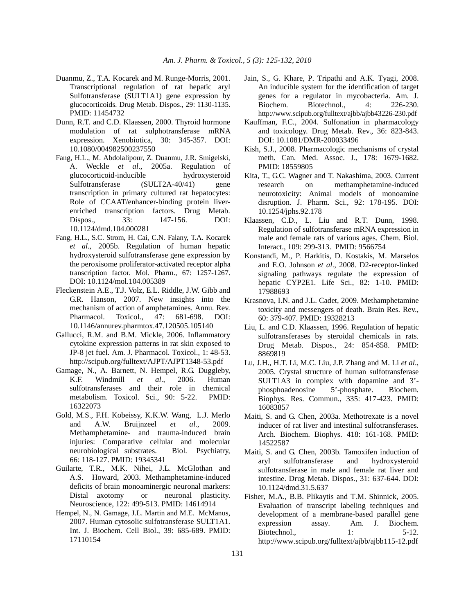- Duanmu, Z., T.A. Kocarek and M. Runge-Morris, 2001. Transcriptional regulation of rat hepatic aryl Sulfotransferase (SULT1A1) gene expression by glucocorticoids*.* Drug Metab. Dispos., 29: 1130-1135. PMID: 11454732
- Dunn, R.T. and C.D. Klaassen, 2000. Thyroid hormone modulation of rat sulphotransferase mRNA expression. Xenobiotica, 30: 345-357. DOI: 10.1080/004982500237550
- Fang, H.L., M. Abdolalipour, Z. Duanmu, J.R. Smigelski, A. Weckle *et al*., 2005a. Regulation of glucocorticoid-inducible hydroxysteroid Sulfotransferase (SULT2A-40/41) gene transcription in primary cultured rat hepatocytes: Role of CCAAT/enhancer-binding protein liverenriched transcription factors. Drug Metab. Dispos., 33: 147-156. DOI: 10.1124/dmd.104.000281
- Fang, H.L., S.C. Strom, H. Cai, C.N. Falany, T.A. Kocarek *et al*., 2005b. Regulation of human hepatic hydroxysteroid sulfotransferase gene expression by the peroxisome proliferator-activated receptor alpha transcription factor. Mol. Pharm., 67: 1257-1267. DOI: 10.1124/mol.104.005389
- Fleckenstein A.E., T.J. Volz, E.L. Riddle, J.W. Gibb and G.R. Hanson, 2007. New insights into the mechanism of action of amphetamines. Annu. Rev. Pharmacol. Toxicol., 47: 681-698. DOI: 10.1146/annurev.pharmtox.47.120505.105140
- Gallucci, R.M. and B.M. Mickle, 2006. Inflammatory cytokine expression patterns in rat skin exposed to JP-8 jet fuel. Am. J. Pharmacol. Toxicol., 1: 48-53. http://scipub.org/fulltext/AJPT/AJPT1348-53.pdf
- Gamage, N., A. Barnett, N. Hempel, R.G. Duggleby, K.F. Windmill *et al*., 2006. Human sulfotransferases and their role in chemical metabolism. Toxicol. Sci., 90: 5-22. PMID: 16322073
- Gold, M.S., F.H. Kobeissy, K.K.W. Wang, L.J. Merlo and A.W. Bruijnzeel *et al*., 2009. Methamphetamine- and trauma-induced brain injuries: Comparative cellular and molecular neurobiological substrates. Biol. Psychiatry, 66: 118-127. PMID: 19345341
- Guilarte, T.R., M.K. Nihei, J.L. McGlothan and A.S. Howard, 2003. Methamphetamine-induced deficits of brain monoaminergic neuronal markers: Distal axotomy or neuronal plasticity. Neuroscience, 122: 499-513. PMID: 14614914
- Hempel, N., N. Gamage, J.L. Martin and M.E. McManus, 2007. Human cytosolic sulfotransferase SULT1A1. Int. J. Biochem. Cell Biol., 39: 685-689. PMID: 17110154
- Jain, S., G. Khare, P. Tripathi and A.K. Tyagi, 2008. An inducible system for the identification of target genes for a regulator in mycobacteria. Am. J. Biochem. Biotechnol., 4: 226-230. http://www.scipub.org/fulltext/ajbb/ajbb43226-230.pdf
- Kauffman, F.C., 2004. Sulfonation in pharmacology and toxicology. Drug Metab. Rev., 36: 823-843. DOI: 10.1081/DMR-200033496
- Kish, S.J., 2008. Pharmacologic mechanisms of crystal meth. Can. Med. Assoc. J., 178: 1679-1682. PMID: 18559805
- Kita, T., G.C. Wagner and T. Nakashima, 2003. Current research on methamphetamine-induced neurotoxicity: Animal models of monoamine disruption. J. Pharm. Sci., 92: 178-195. DOI: 10.1254/jphs.92.178
- Klaassen, C.D., L. Liu and R.T. Dunn, 1998. Regulation of sulfotransferase mRNA expression in male and female rats of various ages. Chem. Biol. Interact., 109: 299-313. PMID: 9566754
- Konstandi, M., P. Harkitis, D. Kostakis, M. Marselos and E.O. Johnson *et al*., 2008. D2-receptor-linked signaling pathways regulate the expression of hepatic CYP2E1. Life Sci., 82: 1-10. PMID: 17988693
- Krasnova, I.N. and J.L. Cadet, 2009. Methamphetamine toxicity and messengers of death. Brain Res. Rev., 60: 379-407. PMID: 19328213
- Liu, L. and C.D. Klaassen, 1996. Regulation of hepatic sulfotransferases by steroidal chemicals in rats. Drug Metab. Dispos., 24: 854-858. PMID: 8869819
- Lu, J.H., H.T. Li, M.C. Liu, J.P. Zhang and M. Li *et al*., 2005. Crystal structure of human sulfotransferase SULT1A3 in complex with dopamine and 3' phosphoadenosine 5'-phosphate. Biochem. Biophys. Res. Commun., 335: 417-423. PMID: 16083857
- Maiti, S. and G. Chen, 2003a. Methotrexate is a novel inducer of rat liver and intestinal sulfotransferases. Arch. Biochem. Biophys. 418: 161-168. PMID: 14522587
- Maiti, S. and G. Chen, 2003b. Tamoxifen induction of aryl sulfotransferase and hydroxysteroid sulfotransferase in male and female rat liver and intestine. Drug Metab. Dispos., 31: 637-644. DOI: 10.1124/dmd.31.5.637
- Fisher, M.A., B.B. Plikaytis and T.M. Shinnick, 2005. Evaluation of transcript labeling techniques and development of a membrane-based parallel gene expression assay. Am. J. Biochem. Biotechnol., 1: 5-12. http://www.scipub.org/fulltext/ajbb/ajbb115-12.pdf